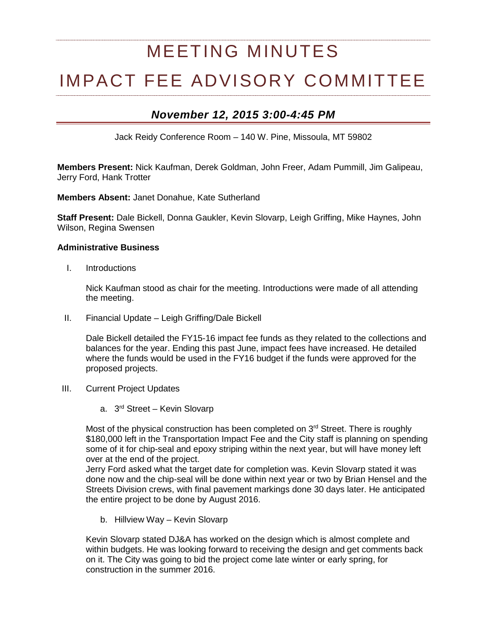# MEETING MINUTES IMPACT FEE ADVISORY COMMITTEE

## *November 12, 2015 3:00-4:45 PM*

Jack Reidy Conference Room – 140 W. Pine, Missoula, MT 59802

**Members Present:** Nick Kaufman, Derek Goldman, John Freer, Adam Pummill, Jim Galipeau, Jerry Ford, Hank Trotter

**Members Absent:** Janet Donahue, Kate Sutherland

**Staff Present:** Dale Bickell, Donna Gaukler, Kevin Slovarp, Leigh Griffing, Mike Haynes, John Wilson, Regina Swensen

#### **Administrative Business**

I. Introductions

Nick Kaufman stood as chair for the meeting. Introductions were made of all attending the meeting.

II. Financial Update – Leigh Griffing/Dale Bickell

Dale Bickell detailed the FY15-16 impact fee funds as they related to the collections and balances for the year. Ending this past June, impact fees have increased. He detailed where the funds would be used in the FY16 budget if the funds were approved for the proposed projects.

- III. Current Project Updates
	- a. 3rd Street Kevin Slovarp

Most of the physical construction has been completed on 3<sup>rd</sup> Street. There is roughly \$180,000 left in the Transportation Impact Fee and the City staff is planning on spending some of it for chip-seal and epoxy striping within the next year, but will have money left over at the end of the project.

Jerry Ford asked what the target date for completion was. Kevin Slovarp stated it was done now and the chip-seal will be done within next year or two by Brian Hensel and the Streets Division crews, with final pavement markings done 30 days later. He anticipated the entire project to be done by August 2016.

b. Hillview Way – Kevin Slovarp

Kevin Slovarp stated DJ&A has worked on the design which is almost complete and within budgets. He was looking forward to receiving the design and get comments back on it. The City was going to bid the project come late winter or early spring, for construction in the summer 2016.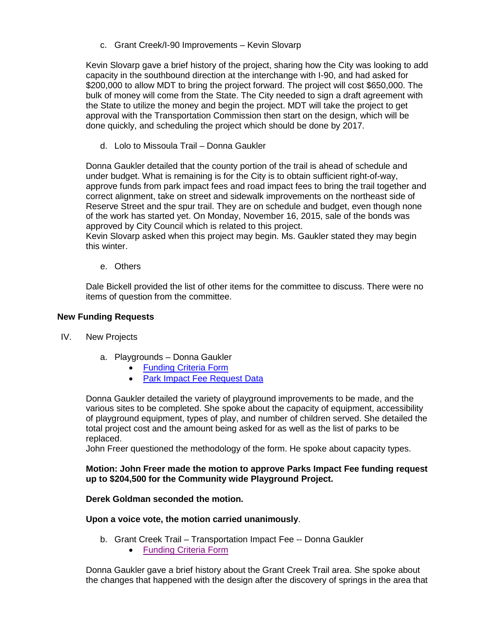c. Grant Creek/I-90 Improvements – Kevin Slovarp

Kevin Slovarp gave a brief history of the project, sharing how the City was looking to add capacity in the southbound direction at the interchange with I-90, and had asked for \$200,000 to allow MDT to bring the project forward. The project will cost \$650,000. The bulk of money will come from the State. The City needed to sign a draft agreement with the State to utilize the money and begin the project. MDT will take the project to get approval with the Transportation Commission then start on the design, which will be done quickly, and scheduling the project which should be done by 2017.

d. Lolo to Missoula Trail – Donna Gaukler

Donna Gaukler detailed that the county portion of the trail is ahead of schedule and under budget. What is remaining is for the City is to obtain sufficient right-of-way, approve funds from park impact fees and road impact fees to bring the trail together and correct alignment, take on street and sidewalk improvements on the northeast side of Reserve Street and the spur trail. They are on schedule and budget, even though none of the work has started yet. On Monday, November 16, 2015, sale of the bonds was approved by City Council which is related to this project.

Kevin Slovarp asked when this project may begin. Ms. Gaukler stated they may begin this winter.

e. Others

Dale Bickell provided the list of other items for the committee to discuss. There were no items of question from the committee.

#### **New Funding Requests**

- IV. New Projects
	- a. Playgrounds Donna Gaukler
		- [Funding Criteria Form](http://mt-missoula2.civicplus.com/DocumentCenter/View/32600)
		- [Park Impact Fee Request Data](http://mt-missoula2.civicplus.com/DocumentCenter/View/32604)

Donna Gaukler detailed the variety of playground improvements to be made, and the various sites to be completed. She spoke about the capacity of equipment, accessibility of playground equipment, types of play, and number of children served. She detailed the total project cost and the amount being asked for as well as the list of parks to be replaced.

John Freer questioned the methodology of the form. He spoke about capacity types.

#### **Motion: John Freer made the motion to approve Parks Impact Fee funding request up to \$204,500 for the Community wide Playground Project.**

#### **Derek Goldman seconded the motion.**

#### **Upon a voice vote, the motion carried unanimously**.

- b. Grant Creek Trail Transportation Impact Fee -- Donna Gaukler
	- [Funding Criteria Form](https://www.ci.missoula.mt.us/DocumentCenter/View/32601)

Donna Gaukler gave a brief history about the Grant Creek Trail area. She spoke about the changes that happened with the design after the discovery of springs in the area that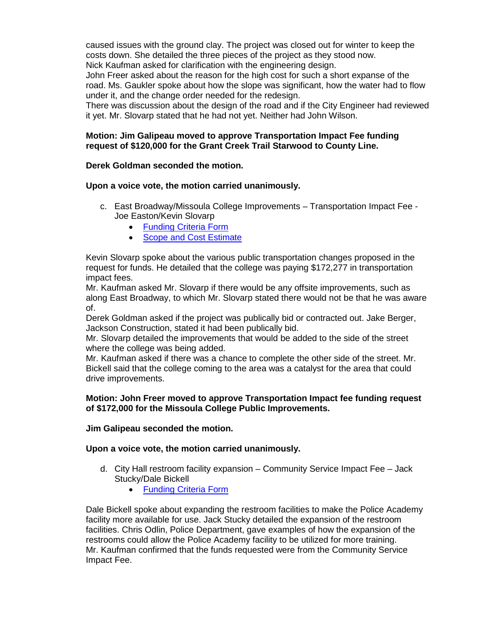caused issues with the ground clay. The project was closed out for winter to keep the costs down. She detailed the three pieces of the project as they stood now. Nick Kaufman asked for clarification with the engineering design.

John Freer asked about the reason for the high cost for such a short expanse of the road. Ms. Gaukler spoke about how the slope was significant, how the water had to flow under it, and the change order needed for the redesign.

There was discussion about the design of the road and if the City Engineer had reviewed it yet. Mr. Slovarp stated that he had not yet. Neither had John Wilson.

#### **Motion: Jim Galipeau moved to approve Transportation Impact Fee funding request of \$120,000 for the Grant Creek Trail Starwood to County Line.**

#### **Derek Goldman seconded the motion.**

#### **Upon a voice vote, the motion carried unanimously.**

- c. East Broadway/Missoula College Improvements Transportation Impact Fee Joe Easton/Kevin Slovarp
	- [Funding Criteria Form](http://mt-missoula2.civicplus.com/DocumentCenter/View/32602)
	- [Scope and Cost Estimate](http://mt-missoula2.civicplus.com/DocumentCenter/View/32603)

Kevin Slovarp spoke about the various public transportation changes proposed in the request for funds. He detailed that the college was paying \$172,277 in transportation impact fees.

Mr. Kaufman asked Mr. Slovarp if there would be any offsite improvements, such as along East Broadway, to which Mr. Slovarp stated there would not be that he was aware of.

Derek Goldman asked if the project was publically bid or contracted out. Jake Berger, Jackson Construction, stated it had been publically bid.

Mr. Slovarp detailed the improvements that would be added to the side of the street where the college was being added.

Mr. Kaufman asked if there was a chance to complete the other side of the street. Mr. Bickell said that the college coming to the area was a catalyst for the area that could drive improvements.

#### **Motion: John Freer moved to approve Transportation Impact fee funding request of \$172,000 for the Missoula College Public Improvements.**

#### **Jim Galipeau seconded the motion.**

#### **Upon a voice vote, the motion carried unanimously.**

- d. City Hall restroom facility expansion Community Service Impact Fee Jack Stucky/Dale Bickell
	- [Funding Criteria Form](http://mt-missoula2.civicplus.com/DocumentCenter/View/32599)

Dale Bickell spoke about expanding the restroom facilities to make the Police Academy facility more available for use. Jack Stucky detailed the expansion of the restroom facilities. Chris Odlin, Police Department, gave examples of how the expansion of the restrooms could allow the Police Academy facility to be utilized for more training. Mr. Kaufman confirmed that the funds requested were from the Community Service Impact Fee.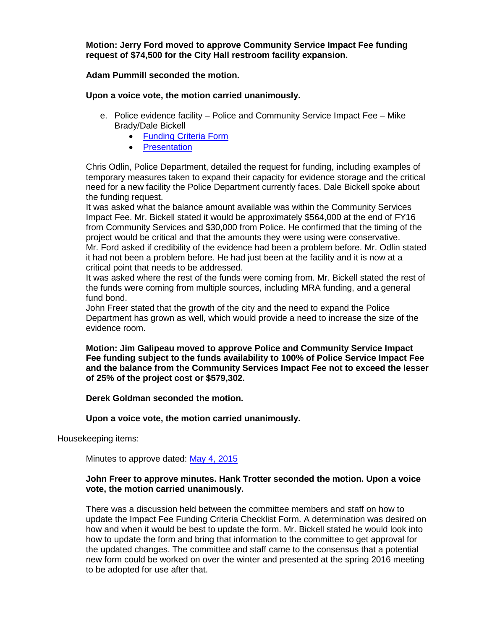**Motion: Jerry Ford moved to approve Community Service Impact Fee funding request of \$74,500 for the City Hall restroom facility expansion.** 

**Adam Pummill seconded the motion.** 

**Upon a voice vote, the motion carried unanimously.**

- e. Police evidence facility Police and Community Service Impact Fee Mike Brady/Dale Bickell
	- [Funding Criteria Form](http://mt-missoula2.civicplus.com/DocumentCenter/View/32598)
	- [Presentation](http://mt-missoula2.civicplus.com/DocumentCenter/View/32605)

Chris Odlin, Police Department, detailed the request for funding, including examples of temporary measures taken to expand their capacity for evidence storage and the critical need for a new facility the Police Department currently faces. Dale Bickell spoke about the funding request.

It was asked what the balance amount available was within the Community Services Impact Fee. Mr. Bickell stated it would be approximately \$564,000 at the end of FY16 from Community Services and \$30,000 from Police. He confirmed that the timing of the project would be critical and that the amounts they were using were conservative. Mr. Ford asked if credibility of the evidence had been a problem before. Mr. Odlin stated it had not been a problem before. He had just been at the facility and it is now at a critical point that needs to be addressed.

It was asked where the rest of the funds were coming from. Mr. Bickell stated the rest of the funds were coming from multiple sources, including MRA funding, and a general fund bond.

John Freer stated that the growth of the city and the need to expand the Police Department has grown as well, which would provide a need to increase the size of the evidence room.

**Motion: Jim Galipeau moved to approve Police and Community Service Impact Fee funding subject to the funds availability to 100% of Police Service Impact Fee and the balance from the Community Services Impact Fee not to exceed the lesser of 25% of the project cost or \$579,302.** 

#### **Derek Goldman seconded the motion.**

#### **Upon a voice vote, the motion carried unanimously.**

Housekeeping items:

Minutes to approve dated: [May 4, 2015](http://www.ci.missoula.mt.us/Archive.aspx?ADID=9103)

#### **John Freer to approve minutes. Hank Trotter seconded the motion. Upon a voice vote, the motion carried unanimously.**

There was a discussion held between the committee members and staff on how to update the Impact Fee Funding Criteria Checklist Form. A determination was desired on how and when it would be best to update the form. Mr. Bickell stated he would look into how to update the form and bring that information to the committee to get approval for the updated changes. The committee and staff came to the consensus that a potential new form could be worked on over the winter and presented at the spring 2016 meeting to be adopted for use after that.